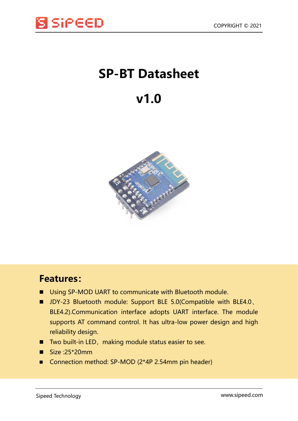

## **SP-BT Datasheet**

## **v1.0**



## **Features:**

- Using SP-MOD UART to communicate with Bluetooth module.
- JDY-23 Bluetooth module: Support BLE 5.0(Compatible with BLE4.0 BLE4.2).Communication interface adopts UART interface. The module supports AT command control. It has ultra-low power design and high reliability design.
- Two built-in LED, making module status easier to see.
- $Size :25*20mm$
- Connection method: SP-MOD (2\*4P 2.54mm pin header)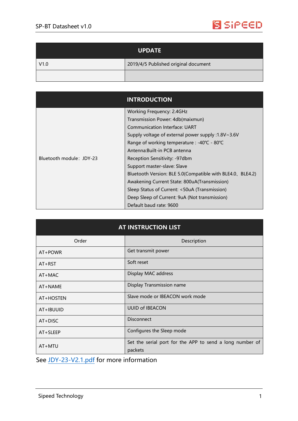

| <b>UPDATE</b> |                                      |
|---------------|--------------------------------------|
| V1.0          | 2019/4/5 Published original document |
|               |                                      |

|                          | <b>INTRODUCTION</b>                                        |
|--------------------------|------------------------------------------------------------|
| Bluetooth module: JDY-23 | <b>Working Frequency: 2.4GHz</b>                           |
|                          | Transmission Power: 4db(maixmun)                           |
|                          | Communication Interface: UART                              |
|                          | Supply voltage of external power supply :1.8V~3.6V         |
|                          | Range of working temperature : -40℃ - 80℃                  |
|                          | Antenna: Built-in PCB antenna                              |
|                          | Reception Sensitivity: -97dbm                              |
|                          | Support master-slave: Slave                                |
|                          | Bluetooth Version: BLE 5.0(Compatible with BLE4.0, BLE4.2) |
|                          | Awakening Current State: 800uA(Transmission)               |
|                          | Sleep Status of Current: <50uA (Transmission)              |
|                          | Deep Sleep of Current: 9uA (Not transmission)              |
|                          | Default baud rate: 9600                                    |

| <b>AT INSTRUCTION LIST</b> |                                                                     |  |
|----------------------------|---------------------------------------------------------------------|--|
| Order                      | Description                                                         |  |
| AT+POWR                    | Get transmit power                                                  |  |
| $AT+RST$                   | Soft reset                                                          |  |
| $AT+MAC$                   | Display MAC address                                                 |  |
| AT+NAME                    | Display Transmission name                                           |  |
| AT+HOSTEN                  | Slave mode or IBEACON work mode                                     |  |
| AT+IBUUID                  | <b>UUID of IBEACON</b>                                              |  |
| $AT+DISC$                  | <b>Disconnect</b>                                                   |  |
| AT+SLEEP                   | Configures the Sleep mode                                           |  |
| $AT+MTU$                   | Set the serial port for the APP to send a long number of<br>packets |  |

See [JDY-23-V2.1.pdf](https://dl.sipeed.com/shareURL/MAIX/HDK/sp_mod/sp_bt) for more information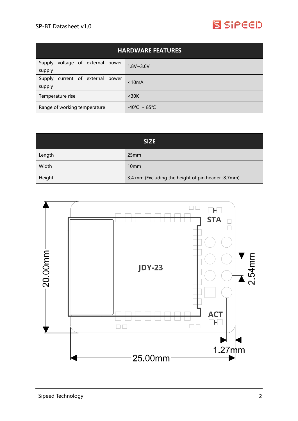

| <b>HARDWARE FEATURES</b>                      |                                   |  |
|-----------------------------------------------|-----------------------------------|--|
| voltage of external power<br>Supply<br>supply | $1.8V - 3.6V$                     |  |
| current of external power<br>Supply<br>supply | < 10mA                            |  |
| Temperature rise                              | $<$ 30K                           |  |
| Range of working temperature                  | $-40^{\circ}$ C ~ 85 $^{\circ}$ C |  |

| <b>SIZE</b> |                                                     |
|-------------|-----------------------------------------------------|
| Length      | 25mm                                                |
| Width       | 10 <sub>mm</sub>                                    |
| Height      | 3.4 mm (Excluding the height of pin header : 8.7mm) |